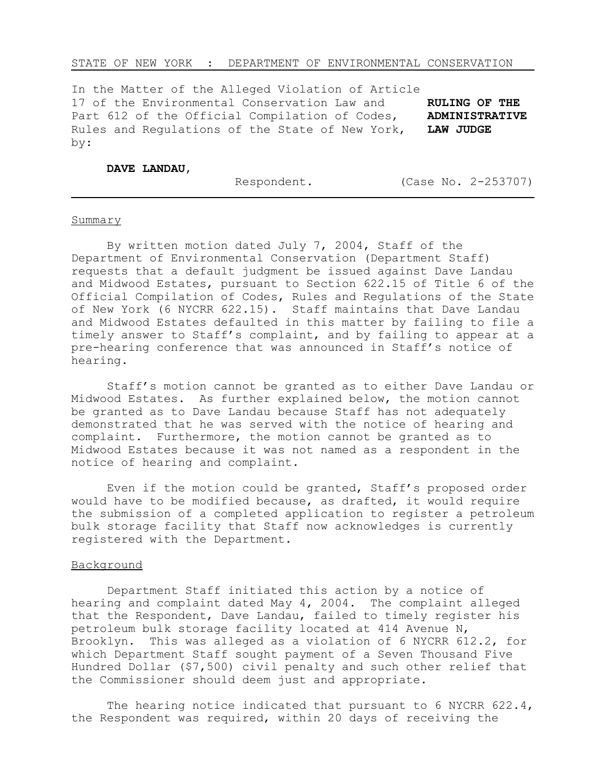#### STATE OF NEW YORK : DEPARTMENT OF ENVIRONMENTAL CONSERVATION

In the Matter of the Alleged Violation of Article 17 of the Environmental Conservation Law and **RULING OF THE** Part 612 of the Official Compilation of Codes, **ADMINISTRATIVE** Rules and Regulations of the State of New York, **LAW JUDGE** by:

#### **DAVE LANDAU**,

Respondent. (Case No. 2-253707)

#### **Summary**

L

By written motion dated July 7, 2004, Staff of the Department of Environmental Conservation (Department Staff) requests that a default judgment be issued against Dave Landau and Midwood Estates, pursuant to Section 622.15 of Title 6 of the Official Compilation of Codes, Rules and Regulations of the State of New York (6 NYCRR 622.15). Staff maintains that Dave Landau and Midwood Estates defaulted in this matter by failing to file a timely answer to Staff's complaint, and by failing to appear at a pre-hearing conference that was announced in Staff's notice of hearing.

Staff's motion cannot be granted as to either Dave Landau or Midwood Estates. As further explained below, the motion cannot be granted as to Dave Landau because Staff has not adequately demonstrated that he was served with the notice of hearing and complaint. Furthermore, the motion cannot be granted as to Midwood Estates because it was not named as a respondent in the notice of hearing and complaint.

Even if the motion could be granted, Staff's proposed order would have to be modified because, as drafted, it would require the submission of a completed application to register a petroleum bulk storage facility that Staff now acknowledges is currently registered with the Department.

#### Background

Department Staff initiated this action by a notice of hearing and complaint dated May 4, 2004. The complaint alleged that the Respondent, Dave Landau, failed to timely register his petroleum bulk storage facility located at 414 Avenue N, Brooklyn. This was alleged as a violation of 6 NYCRR 612.2, for which Department Staff sought payment of a Seven Thousand Five Hundred Dollar (\$7,500) civil penalty and such other relief that the Commissioner should deem just and appropriate.

The hearing notice indicated that pursuant to 6 NYCRR  $622.4$ , the Respondent was required, within 20 days of receiving the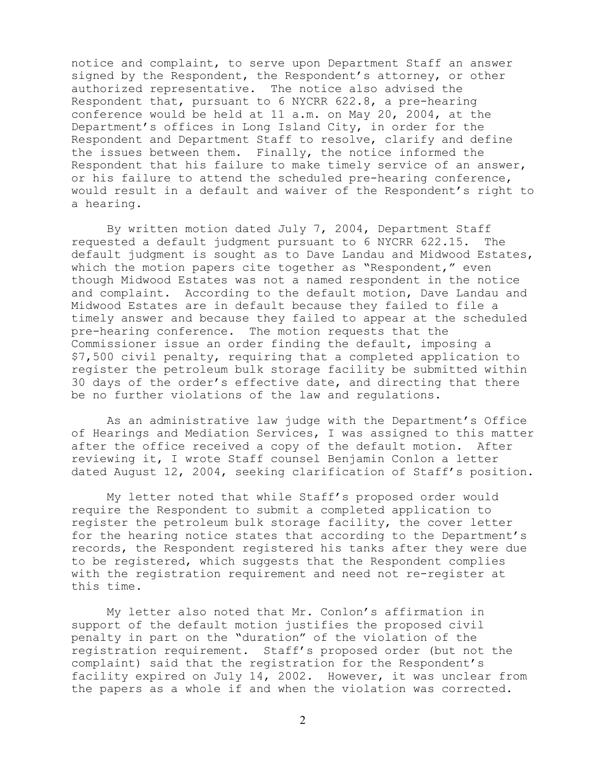notice and complaint, to serve upon Department Staff an answer signed by the Respondent, the Respondent's attorney, or other authorized representative. The notice also advised the Respondent that, pursuant to 6 NYCRR 622.8, a pre-hearing conference would be held at 11 a.m. on May 20, 2004, at the Department's offices in Long Island City, in order for the Respondent and Department Staff to resolve, clarify and define the issues between them. Finally, the notice informed the Respondent that his failure to make timely service of an answer, or his failure to attend the scheduled pre-hearing conference, would result in a default and waiver of the Respondent's right to a hearing.

By written motion dated July 7, 2004, Department Staff requested a default judgment pursuant to 6 NYCRR 622.15. The default judgment is sought as to Dave Landau and Midwood Estates, which the motion papers cite together as "Respondent," even though Midwood Estates was not a named respondent in the notice and complaint. According to the default motion, Dave Landau and Midwood Estates are in default because they failed to file a timely answer and because they failed to appear at the scheduled pre-hearing conference. The motion requests that the Commissioner issue an order finding the default, imposing a \$7,500 civil penalty, requiring that a completed application to register the petroleum bulk storage facility be submitted within 30 days of the order's effective date, and directing that there be no further violations of the law and regulations.

As an administrative law judge with the Department's Office of Hearings and Mediation Services, I was assigned to this matter after the office received a copy of the default motion. After reviewing it, I wrote Staff counsel Benjamin Conlon a letter dated August 12, 2004, seeking clarification of Staff's position.

My letter noted that while Staff's proposed order would require the Respondent to submit a completed application to register the petroleum bulk storage facility, the cover letter for the hearing notice states that according to the Department's records, the Respondent registered his tanks after they were due to be registered, which suggests that the Respondent complies with the registration requirement and need not re-register at this time.

My letter also noted that Mr. Conlon's affirmation in support of the default motion justifies the proposed civil penalty in part on the "duration" of the violation of the registration requirement. Staff's proposed order (but not the complaint) said that the registration for the Respondent's facility expired on July 14, 2002. However, it was unclear from the papers as a whole if and when the violation was corrected.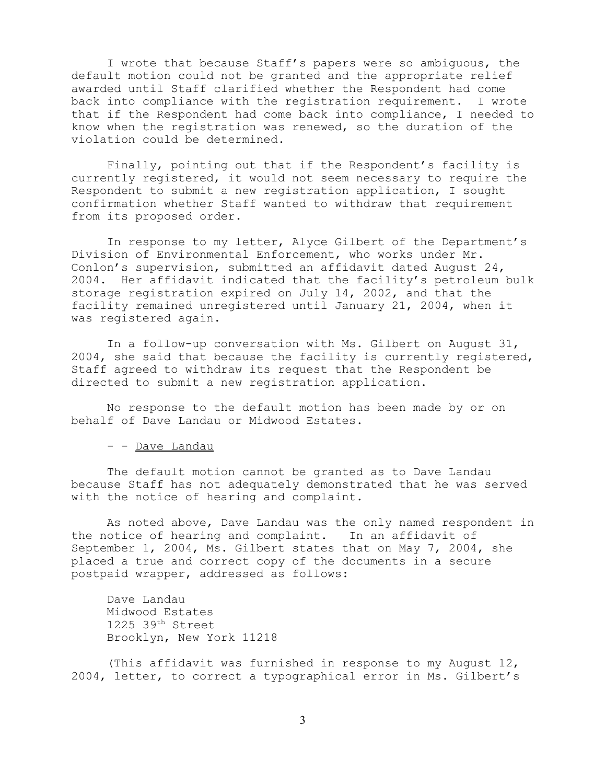I wrote that because Staff's papers were so ambiguous, the default motion could not be granted and the appropriate relief awarded until Staff clarified whether the Respondent had come back into compliance with the registration requirement. I wrote that if the Respondent had come back into compliance, I needed to know when the registration was renewed, so the duration of the violation could be determined.

Finally, pointing out that if the Respondent's facility is currently registered, it would not seem necessary to require the Respondent to submit a new registration application, I sought confirmation whether Staff wanted to withdraw that requirement from its proposed order.

In response to my letter, Alyce Gilbert of the Department's Division of Environmental Enforcement, who works under Mr. Conlon's supervision, submitted an affidavit dated August 24, 2004. Her affidavit indicated that the facility's petroleum bulk storage registration expired on July 14, 2002, and that the facility remained unregistered until January 21, 2004, when it was registered again.

In a follow-up conversation with Ms. Gilbert on August 31, 2004, she said that because the facility is currently registered, Staff agreed to withdraw its request that the Respondent be directed to submit a new registration application.

No response to the default motion has been made by or on behalf of Dave Landau or Midwood Estates.

- - Dave Landau

The default motion cannot be granted as to Dave Landau because Staff has not adequately demonstrated that he was served with the notice of hearing and complaint.

As noted above, Dave Landau was the only named respondent in the notice of hearing and complaint. In an affidavit of September 1, 2004, Ms. Gilbert states that on May 7, 2004, she placed a true and correct copy of the documents in a secure postpaid wrapper, addressed as follows:

Dave Landau Midwood Estates  $1225$  39<sup>th</sup> Street Brooklyn, New York 11218

(This affidavit was furnished in response to my August 12, 2004, letter, to correct a typographical error in Ms. Gilbert's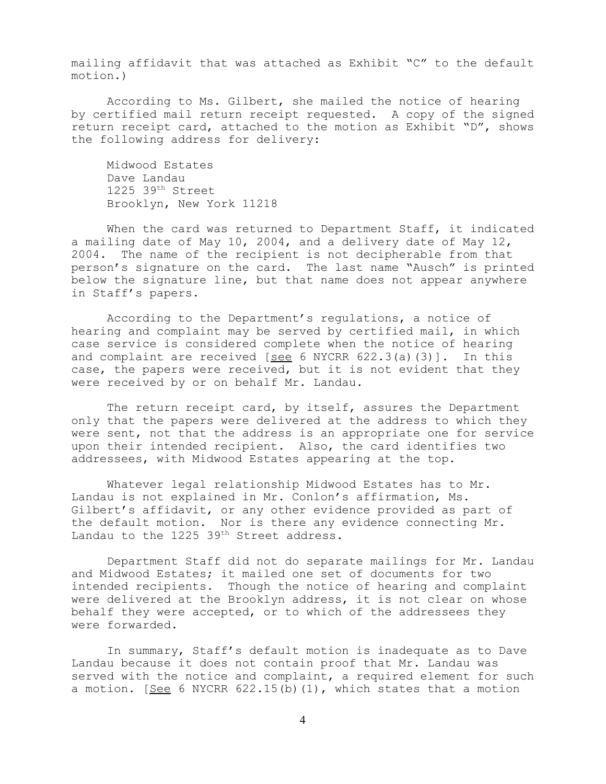mailing affidavit that was attached as Exhibit "C" to the default motion.)

According to Ms. Gilbert, she mailed the notice of hearing by certified mail return receipt requested. A copy of the signed return receipt card, attached to the motion as Exhibit "D", shows the following address for delivery:

Midwood Estates Dave Landau 1225 39th Street Brooklyn, New York 11218

When the card was returned to Department Staff, it indicated a mailing date of May 10, 2004, and a delivery date of May 12, 2004. The name of the recipient is not decipherable from that person's signature on the card. The last name "Ausch" is printed below the signature line, but that name does not appear anywhere in Staff's papers.

According to the Department's regulations, a notice of hearing and complaint may be served by certified mail, in which case service is considered complete when the notice of hearing and complaint are received  $[see 6 NYCRR 622.3(a)(3)].$  In this case, the papers were received, but it is not evident that they were received by or on behalf Mr. Landau.

The return receipt card, by itself, assures the Department only that the papers were delivered at the address to which they were sent, not that the address is an appropriate one for service upon their intended recipient. Also, the card identifies two addressees, with Midwood Estates appearing at the top.

Whatever legal relationship Midwood Estates has to Mr. Landau is not explained in Mr. Conlon's affirmation, Ms. Gilbert's affidavit, or any other evidence provided as part of the default motion. Nor is there any evidence connecting Mr. Landau to the 1225 39<sup>th</sup> Street address.

Department Staff did not do separate mailings for Mr. Landau and Midwood Estates; it mailed one set of documents for two intended recipients. Though the notice of hearing and complaint were delivered at the Brooklyn address, it is not clear on whose behalf they were accepted, or to which of the addressees they were forwarded.

In summary, Staff's default motion is inadequate as to Dave Landau because it does not contain proof that Mr. Landau was served with the notice and complaint, a required element for such a motion. [See 6 NYCRR 622.15(b)(1), which states that a motion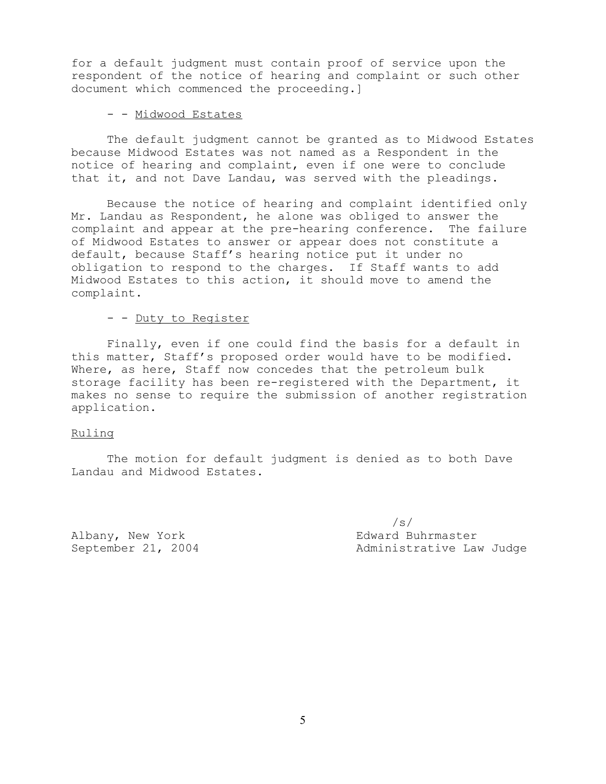for a default judgment must contain proof of service upon the respondent of the notice of hearing and complaint or such other document which commenced the proceeding.]

# - - Midwood Estates

The default judgment cannot be granted as to Midwood Estates because Midwood Estates was not named as a Respondent in the notice of hearing and complaint, even if one were to conclude that it, and not Dave Landau, was served with the pleadings.

Because the notice of hearing and complaint identified only Mr. Landau as Respondent, he alone was obliged to answer the complaint and appear at the pre-hearing conference. The failure of Midwood Estates to answer or appear does not constitute a default, because Staff's hearing notice put it under no obligation to respond to the charges. If Staff wants to add Midwood Estates to this action, it should move to amend the complaint.

## - - Duty to Register

Finally, even if one could find the basis for a default in this matter, Staff's proposed order would have to be modified. Where, as here, Staff now concedes that the petroleum bulk storage facility has been re-registered with the Department, it makes no sense to require the submission of another registration application.

### Ruling

The motion for default judgment is denied as to both Dave Landau and Midwood Estates.

Albany, New York **Edward Buhrmaster** 

/s/ September 21, 2004 **Administrative Law Judge**